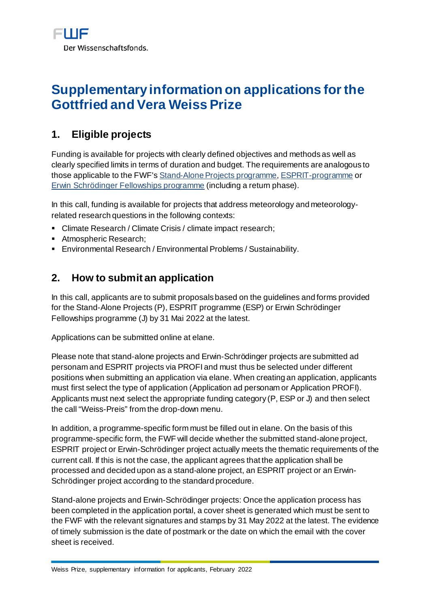# **Supplementary information on applications for the Gottfried and Vera Weiss Prize**

# **1. Eligible projects**

Funding is available for projects with clearly defined objectives and methods as well as clearly specified limits in terms of duration and budget. The requirements are analogous to those applicable to the FWF'[s Stand-Alone Projects programme](https://www.fwf.ac.at/en/research-funding/fwf-programmes/stand-alone-projects)[, ESPRIT-programme](https://www.fwf.ac.at/en/research-funding/fwf-programmes/esprit-programme) or [Erwin Schrödinger Fellowships programme](https://www.fwf.ac.at/en/research-funding/fwf-programmes/schroedinger-programme) (including a return phase).

In this call, funding is available for projects that address meteorology and meteorologyrelated research questions in the following contexts:

- Climate Research / Climate Crisis / climate impact research;
- **Atmospheric Research;**
- Environmental Research / Environmental Problems / Sustainability.

## **2. How to submit an application**

In this call, applicants are to submit proposals based on the guidelines and forms provided for the Stand-Alone Projects (P), ESPRIT programme (ESP) or Erwin Schrödinger Fellowships programme (J) by 31 Mai 2022 at the latest.

Applications can be submitted online a[t elane](https://elane.fwf.ac.at/page/panel/loginpanel?4).

Please note that stand-alone projects and Erwin-Schrödinger projects are submitted ad personam and ESPRIT projects via [PROFI](https://www.fwf.ac.at/en/research-funding/project-funding-via-profi) and must thus be selected under different positions when submitting an application via elane. When creating an application, applicants must first select the type of application (Application ad personam or Application PROFI). Applicants must next select the appropriate funding category (P, ESP or J) and then select the call "Weiss-Preis" from the drop-down menu.

In addition, a programme-specific form must be filled out in elane. On the basis of this programme-specific form, the FWF will decide whether the submitted stand-alone project, ESPRIT project or Erwin-Schrödinger project actually meets the thematic requirements of the current call. If this is not the case, the applicant agrees that the application shall be processed and decided upon as a stand-alone project, an ESPRIT project or an Erwin-Schrödinger project according to the standard procedure.

Stand-alone projects and Erwin-Schrödinger projects: Once the application process has been completed in the application portal, a cover sheet is generated which must be sent to the FWF with the relevant signatures and stamps by 31 May 2022 at the latest. The evidence of timely submission is the date of postmark or the date on which the email with the cover sheet is received.